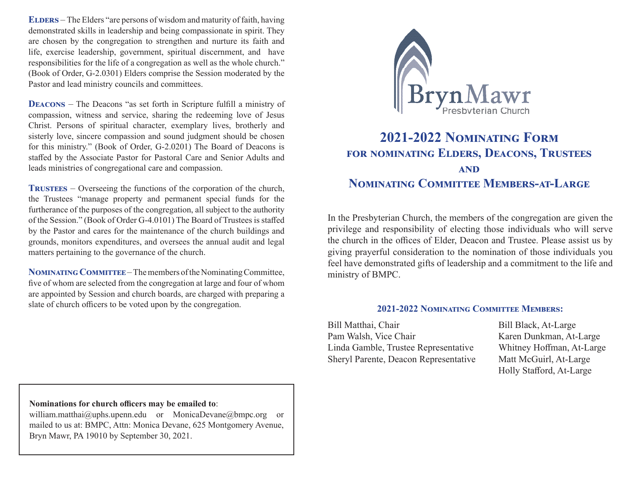**ELDERS** – The Elders "are persons of wisdom and maturity of faith, having demonstrated skills in leadership and being compassionate in spirit. They are chosen by the congregation to strengthen and nurture its faith and life, exercise leadership, government, spiritual discernment, and have responsibilities for the life of a congregation as well as the whole church." (Book of Order, G-2.0301) Elders comprise the Session moderated by the Pastor and lead ministry councils and committees.

**DEACONS** – The Deacons "as set forth in Scripture fulfill a ministry of compassion, witness and service, sharing the redeeming love of Jesus Christ. Persons of spiritual character, exemplary lives, brotherly and sisterly love, sincere compassion and sound judgment should be chosen for this ministry." (Book of Order, G-2.0201) The Board of Deacons is staffed by the Associate Pastor for Pastoral Care and Senior Adults and leads ministries of congregational care and compassion.

**TRUSTEES** – Overseeing the functions of the corporation of the church, the Trustees "manage property and permanent special funds for the furtherance of the purposes of the congregation, all subject to the authority of the Session." (Book of Order G-4.0101) The Board of Trustees is staffed by the Pastor and cares for the maintenance of the church buildings and grounds, monitors expenditures, and oversees the annual audit and legal matters pertaining to the governance of the church.

NOMINATING COMMITTEE – The members of the Nominating Committee, five of whom are selected from the congregation at large and four of whom are appointed by Session and church boards, are charged with preparing a slate of church officers to be voted upon by the congregation.



## **2021-2022 NOMINATING FORM** FOR NOMINATING ELDERS, DEACONS, TRUSTEES **AND NOMINATING COMMITTEE MEMBERS-AT-LARGE**

In the Presbyterian Church, the members of the congregation are given the privilege and responsibility of electing those individuals who will serve the church in the offices of Elder, Deacon and Trustee. Please assist us by giving prayerful consideration to the nomination of those individuals you feel have demonstrated gifts of leadership and a commitment to the life and ministry of BMPC.

### **2021-2022 NOMINATING COMMITTEE MEMBERS:**

Bill Matthai, Chair Bill Black, At-Large Pam Walsh, Vice Chair Karen Dunkman, At-Large Linda Gamble, Trustee Representative Whitney Hoffman, At-Large Sheryl Parente, Deacon Representative Matt McGuirl, At-Large

Holly Stafford, At-Large

#### Nominations for church officers may be emailed to:

william.matthai@uphs.upenn.edu or MonicaDevane@bmpc.org or mailed to us at: BMPC, Attn: Monica Devane, 625 Montgomery Avenue, Bryn Mawr, PA 19010 by September 30, 2021.